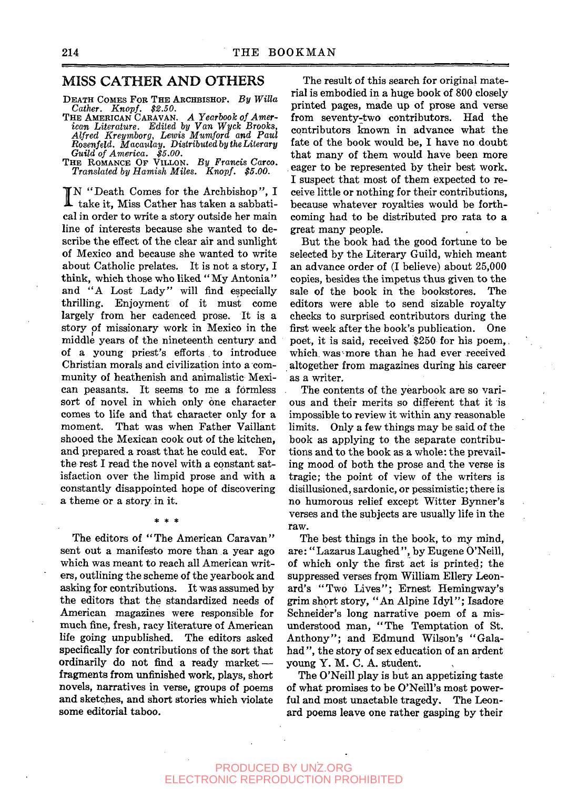## MISS GATHER AND OTHERS

DEATH COMES FOR THE ARCHBISHOP. *By Willa Gather. Knopf. \$2.50.* 

THE AMERICAN CARAVAN. *A Yearbook of Amer-ican Literature. Edited by Van Wyck Brooks, Alfred Kreymborg, Lewis Mumford and Paul Rosenfeld. Macaulay. Distributed by the Literary Guild of America. \$5.00.* 

THE ROMANCE OF VILLON. *By Francis Carco. Translated by Hamish Miles. Knopf. \$5.00.* 

fN "Death Comes for the Archbishop", I take it, Miss Gather has taken a sabbatical in order to write a story outside her main line of interests because she wanted to describe the effect of the clear air and sunlight of Mexico and because she wanted to write about Catholic prelates. It is not a story, I think, which those who liked "My Antonia" and "A Lost Lady" will find especially thrilling. Enjoyment of it must come largely from her cadenced prose. It is a story of missionary work in Mexico in the middle years of the nineteenth century and of a young priest's efforts. to introduce Christian morals and civilization into a community of heathenish and animalistic Mexican peasants. It seems to me a formless sort of novel in which only one character comes to life and that character only for a moment. That was when Father Vaillant shooed the Mexican cook out of the kitchen, and prepared a roast that he could eat. For the rest I read the novel with a constant satisfaction over the limpid prose and with a constantly disappointed hope of discovering a theme or a story in it.

## $* * *$

The editors of "The American Caravan" sent out a manifesto more than a year ago which was meant to reach all American writers, outlining the scheme of the yearbook and asking for contributions. It was assumed by the editors that the standardized needs of American magazines were responsible for much fine, fresh, racy literature of American life going unpublished. The editors asked specifically for contributions of the sort that ordinarily do not find a ready market fragments from imfinished work, plays, short novels, narratives in verse, groups of poems and sketches, and short stories which violate some editorial taboo.

The result of this search for original material is embodied in a huge book of 800 closely printed pages, made up of prose and verse from seventy-two contributors. Had the contributors known in advance what the fate of the book would be, I have no doubt that many of them would have been more . eager to be represented by their best work. I suspect that most of them expected to receive little or nothing for their contributions, because whatever royalties would be forthcoming had to be distributed pro rata to a great many people.

But the book had the good fortune to be selected by the Literary Guild, which meant an advance order of (I believe) about 25,000 copies, besides the impetus thus given to the sale of the book in the bookstores. The editors were able to send sizable royalty checks to surprised contributors during the first week after the book's publication. One poet, it is said, received \$250 for his poem, which, was-more than he had ever received altogether from magazines during his career as a writer.

The contents of the yearbook are so various and their merits so different that it is impossible to review it within any reasonable limits. Only a few things may be said of the book as applying to the separate contributions and to the book as a whole: the prevailing mood of both the prose and the verse is tragic; the point of view of the writers is disillusioned, sardonic, or pessimistic; there is no humorous relief except Witter Bynner's verses and the subjects are usually life in the raw.

The best things in the book, to my mind, are: "Lazarus Laughed", by Eugene O'Neill, of which only the first act is printed; the suppressed verses from William Ellery Leonard's "Two Lives"; Ernest Hemingway's grim short story, "An Alpine Idyl"; Isadore Schneider's long narrative poem of a misunderstood man, "The Temptation of St. Anthony"; and Edmund Wilson's "Galahad ", the story of sex education of an ardent young Y. M. C. A. student.

The O'Neill play is but an appetizing taste of what promises to be O'Neill's most powerful and most unactable tragedy. The Leonard poems leave one rather gasping by their

## PRODUCED BY UNZ.ORG **ECTRONIC REPRODUCTION PROHIBITED**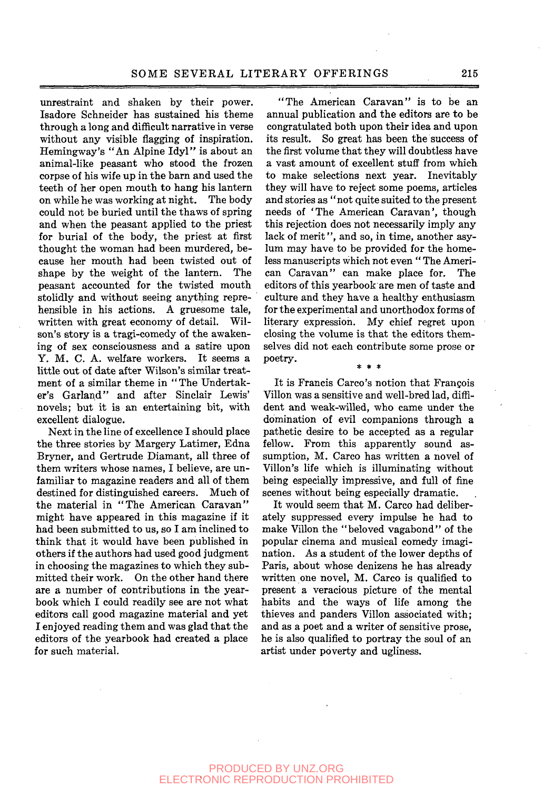unrestraint and shaken by their power. Isadore Schneider has sustained his theme through a long and difficult narrative in verse without any visible flagging of inspiration. Hemingway's "An Alpine Idyl" is about an animal-like peasant who stood the frozen corpse of his wife up in the bam and used the teeth of her open mouth to hang his lantern on while he was working at night. The body could not be buried until the thaws of spring and when the peasant applied to the priest for burial of the body, the priest at first thought the woman had been murdered, because her mouth had been twisted out of shape by the weight of the lantern. The peasant accounted for the twisted mouth stolidly and without seeing anything reprehensible in his actions. A gruesome tale, written with great economy of detail. Wilson's story is a tragi-comedy of the awakening of sex consciousness and a satire upon Y. M. C. A. welfare workers. It seems a little out of date after Wilson's similar treatment of a similar theme in "The Undertaker's Garland" and after Sinclair Lewis' novels; but it is an entertaining bit, with excellent dialogue.

Next in the line of excellence I should place the three stories by Margery Latimer, Edna Bryner, and Gertrude Diamant, all three of them writers whose names, I believe, are unfamiliar to magazine readers and all of them destined for distinguished careers. Much of the material in "The American Caravan" might have appeared in this magazine if it had been submitted to us, so I am inclined to think that it would have been published in others if the authors had used good judgment in choosing the magazines to which they submitted their work. On the other hand there are a number of contributions in the yearbook which I could readily see are not what editors call good magazine material and yet I enjoyed reading them and was glad that the editors of the yearbook had created a place for such material.

"The American Caravan" is to be an annual publication and the editors are to be congratulated both upon their idea and upon its result. So great has been the success of the first volume that they will doubtless have a vast amount of excellent stuff from which to make selections next year. Inevitably they will have to reject some poems, articles and stories as "not quite suited to the present needs of 'The American Caravan', though this rejection does not necessarily imply any lack of merit", and so, in time, another asylum may have to be provided for the homeless manuscripts which not even " The American Caravan" can make place for. The editors of this yearbook are men of taste and culture and they have a healthy enthusiasm for the experimental and unorthodox forms of literary expression. My chief regret upon closing the volume is that the editors themselves did not each contribute some prose or poetry.

It is Francis Carco's notion that Francois Villon was a sensitive and well-bred lad, diffident and weak-willed, who came under the domination of evil companions through a pathetic desire to be accepted as a regular fellow. From this apparently sound assumption, M. Carco has written a novel of Villon's life which is illuminating without being especially impressive, and full of fine scenes without being especially dramatic.

*\* \* \** 

It would seem that M. Carco had deliberately suppressed every impulse he had to make Villon the "beloved vagabond" of the popular cinema and musical comedy imagination. As a student of the lower depths of Paris, about whose denizens he has already written one novel, M. Carco is qualified to present a veracious picture of the mental habits and the ways of life among the thieves and panders Villon associated with; and as a poet and a writer of sensitive prose, he is also qualified to portray the soul of an artist under poverty and ugliness.